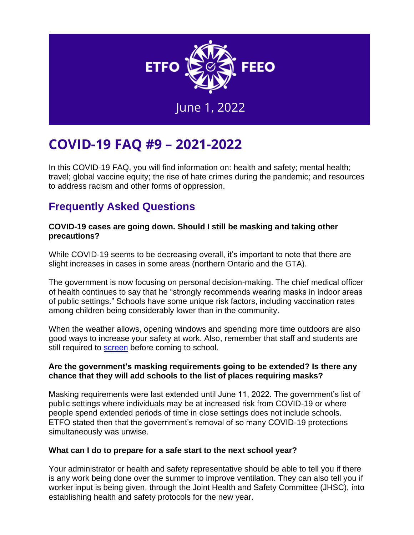

# **COVID-19 FAQ #9 – 2021-2022**

In this COVID-19 FAQ, you will find information on: health and safety; mental health; travel; global vaccine equity; the rise of hate crimes during the pandemic; and resources to address racism and other forms of oppression.

# **Frequently Asked Questions**

#### **COVID-19 cases are going down. Should I still be masking and taking other precautions?**

While COVID-19 seems to be decreasing overall, it's important to note that there are slight increases in cases in some areas (northern Ontario and the GTA).

The government is now focusing on personal decision-making. The chief medical officer of health continues to say that he "strongly recommends wearing masks in indoor areas of public settings." Schools have some unique risk factors, including vaccination rates among children being considerably lower than in the community.

When the weather allows, opening windows and spending more time outdoors are also good ways to increase your safety at work. Also, remember that staff and students are still required to [screen](https://covid-19.ontario.ca/school-screening/) before coming to school.

# **Are the government's masking requirements going to be extended? Is there any chance that they will add schools to the list of places requiring masks?**

Masking requirements were last extended until June 11, 2022. The government's list of public settings where individuals may be at increased risk from COVID-19 or where people spend extended periods of time in close settings does not include schools. ETFO stated then that the government's removal of so many COVID-19 protections simultaneously was unwise.

#### **What can I do to prepare for a safe start to the next school year?**

Your administrator or health and safety representative should be able to tell you if there is any work being done over the summer to improve ventilation. They can also tell you if worker input is being given, through the Joint Health and Safety Committee (JHSC), into establishing health and safety protocols for the new year.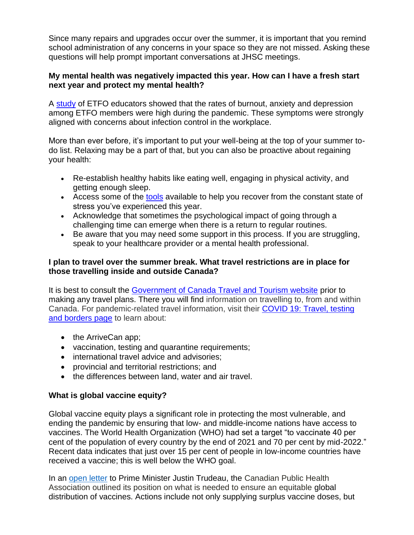Since many repairs and upgrades occur over the summer, it is important that you remind school administration of any concerns in your space so they are not missed. Asking these questions will help prompt important conversations at JHSC meetings.

#### **My mental health was negatively impacted this year. How can I have a fresh start next year and protect my mental health?**

A [study](http://etfohealthandsafety.ca/site/wp-content/uploads/2021/05/Pandemic-Experience-Survey.pdf) of ETFO educators showed that the rates of burnout, anxiety and depression among ETFO members were high during the pandemic. These symptoms were strongly aligned with concerns about infection control in the workplace.

More than ever before, it's important to put your well-being at the top of your summer todo list. Relaxing may be a part of that, but you can also be proactive about regaining your health:

- Re-establish healthy habits like eating well, engaging in physical activity, and getting enough sleep.
- Access some of the [tools](https://members.etfo.ca/SupportingMembers/Employees/PDF%20Versions/Mental%20Health%20and%20Wellness%20Tips%20for%20Members%20During%20the%20Pandemic.pdf) available to help you recover from the constant state of stress you've experienced this year.
- Acknowledge that sometimes the psychological impact of going through a challenging time can emerge when there is a return to regular routines.
- Be aware that you may need some support in this process. If you are struggling, speak to your healthcare provider or a mental health professional.

# **I plan to travel over the summer break. What travel restrictions are in place for those travelling inside and outside Canada?**

It is best to consult the [Government of Canada Travel and Tourism website](https://travel.gc.ca/) prior to making any travel plans. There you will find information on travelling to, from and within Canada. For pandemic-related travel information, visit their [COVID 19: Travel, testing](https://travel.gc.ca/travel-covid)  [and borders](https://travel.gc.ca/travel-covid) page to learn about:

- the ArriveCan app;
- vaccination, testing and quarantine requirements;
- international travel advice and advisories;
- provincial and territorial restrictions; and
- the differences between land, water and air travel.

# **What is global vaccine equity?**

Global vaccine equity plays a significant role in protecting the most vulnerable, and ending the pandemic by ensuring that low- and middle-income nations have access to vaccines. The World Health Organization (WHO) had set a target "to vaccinate 40 per cent of the population of every country by the end of 2021 and 70 per cent by mid-2022." Recent data indicates that just over 15 per cent of people in low-income countries have received a vaccine; this is well below the WHO goal.

In an [open letter](https://www.cpha.ca/open-letter-prime-minister-global-vaccine-equity) to Prime Minister Justin Trudeau, the Canadian Public Health Association outlined its position on what is needed to ensure an equitable global distribution of vaccines. Actions include not only supplying surplus vaccine doses, but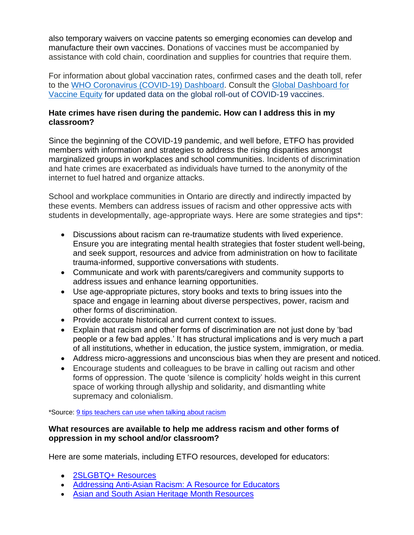also temporary waivers on vaccine patents so emerging economies can develop and manufacture their own vaccines. Donations of vaccines must be accompanied by assistance with cold chain, coordination and supplies for countries that require them.

For information about global vaccination rates, confirmed cases and the death toll, refer to the [WHO Coronavirus \(COVID-19\) Dashboard.](https://covid19.who.int/) Consult the [Global Dashboard for](https://data.undp.org/vaccine-equity/)  [Vaccine Equity](https://data.undp.org/vaccine-equity/) for updated data on the global roll-out of COVID-19 vaccines.

# **Hate crimes have risen during the pandemic. How can I address this in my classroom?**

Since the beginning of the COVID-19 pandemic, and well before, ETFO has provided members with information and strategies to address the rising disparities amongst marginalized groups in workplaces and school communities. Incidents of discrimination and hate crimes are exacerbated as individuals have turned to the anonymity of the internet to fuel hatred and organize attacks.

School and workplace communities in Ontario are directly and indirectly impacted by these events. Members can address issues of racism and other oppressive acts with students in developmentally, age-appropriate ways. Here are some strategies and tips\*:

- Discussions about racism can re-traumatize students with lived experience. Ensure you are integrating mental health strategies that foster student well-being, and seek support, resources and advice from administration on how to facilitate trauma-informed, supportive conversations with students.
- Communicate and work with parents/caregivers and community supports to address issues and enhance learning opportunities.
- Use age-appropriate pictures, story books and texts to bring issues into the space and engage in learning about diverse perspectives, power, racism and other forms of discrimination.
- Provide accurate historical and current context to issues.
- Explain that racism and other forms of discrimination are not just done by 'bad people or a few bad apples.' It has structural implications and is very much a part of all institutions, whether in education, the justice system, immigration, or media.
- Address micro-aggressions and unconscious bias when they are present and noticed.
- Encourage students and colleagues to be brave in calling out racism and other forms of oppression. The quote 'silence is complicity' holds weight in this current space of working through allyship and solidarity, and dismantling white supremacy and colonialism.

\*Source: [9 tips teachers can use when talking about racism](https://theconversation.com/9-tips-teachers-can-use-when-talking-about-racism-140837)

# **What resources are available to help me address racism and other forms of oppression in my school and/or classroom?**

Here are some materials, including ETFO resources, developed for educators:

- [2SLGBTQ+ Resources](https://www.etfo.ca/socialjusticeunion/2slgbtq/2slgbtq-resources)
- [Addressing Anti-Asian Racism: A Resource for Educators](https://www.etfo.ca/socialjusticeunion/anti-asian-racism/addressing-anti-asian-racism)
- [Asian and South Asian Heritage Month Resources](https://www.etfo.ca/socialjusticeunion/anti-asian-racism/may-asian-and-south-asian-heritage-month)